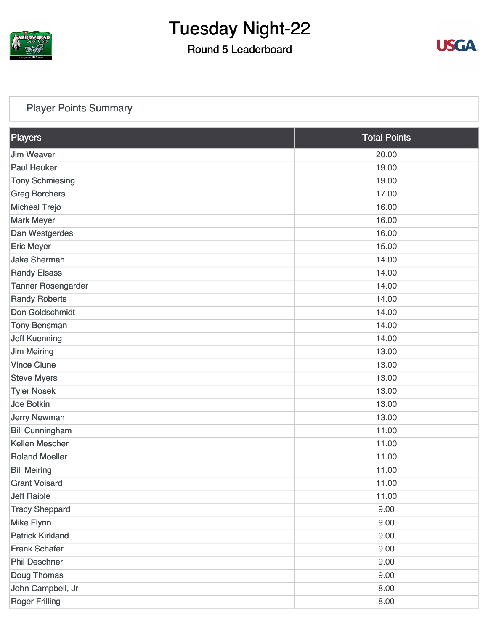

### Round 5 Leaderboard



#### [Player Points Summary](https://static.golfgenius.com/v2tournaments/total_points?league_id=8105993687684621485&round_id=8105995538547090657)

| Players                   | <b>Total Points</b> |
|---------------------------|---------------------|
| <b>Jim Weaver</b>         | 20.00               |
| <b>Paul Heuker</b>        | 19.00               |
| <b>Tony Schmiesing</b>    | 19.00               |
| <b>Greg Borchers</b>      | 17.00               |
| <b>Micheal Trejo</b>      | 16.00               |
| <b>Mark Meyer</b>         | 16.00               |
| Dan Westgerdes            | 16.00               |
| <b>Eric Meyer</b>         | 15.00               |
| <b>Jake Sherman</b>       | 14.00               |
| <b>Randy Elsass</b>       | 14.00               |
| <b>Tanner Rosengarder</b> | 14.00               |
| <b>Randy Roberts</b>      | 14.00               |
| Don Goldschmidt           | 14.00               |
| <b>Tony Bensman</b>       | 14.00               |
| <b>Jeff Kuenning</b>      | 14.00               |
| <b>Jim Meiring</b>        | 13.00               |
| <b>Vince Clune</b>        | 13.00               |
| <b>Steve Myers</b>        | 13.00               |
| <b>Tyler Nosek</b>        | 13.00               |
| Joe Botkin                | 13.00               |
| <b>Jerry Newman</b>       | 13.00               |
| <b>Bill Cunningham</b>    | 11.00               |
| <b>Kellen Mescher</b>     | 11.00               |
| <b>Roland Moeller</b>     | 11.00               |
| <b>Bill Meiring</b>       | 11.00               |
| <b>Grant Voisard</b>      | 11.00               |
| <b>Jeff Raible</b>        | 11.00               |
| <b>Tracy Sheppard</b>     | 9.00                |
| <b>Mike Flynn</b>         | 9.00                |
| <b>Patrick Kirkland</b>   | 9.00                |
| <b>Frank Schafer</b>      | 9.00                |
| <b>Phil Deschner</b>      | 9.00                |
| Doug Thomas               | 9.00                |
| John Campbell, Jr         | 8.00                |
| <b>Roger Frilling</b>     | 8.00                |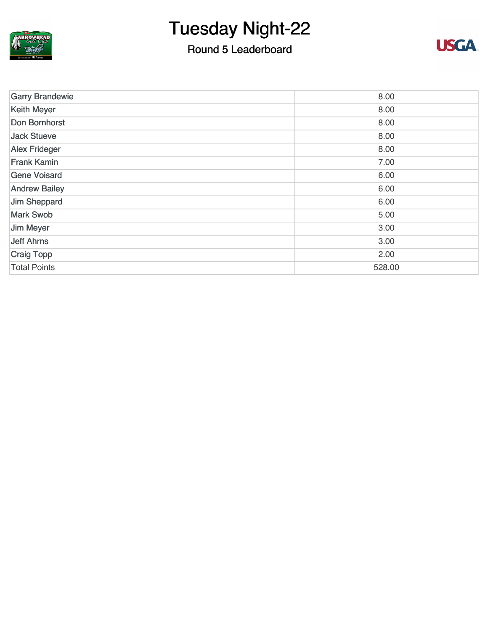

### Round 5 Leaderboard



| <b>Garry Brandewie</b> | 8.00   |
|------------------------|--------|
| <b>Keith Meyer</b>     | 8.00   |
| Don Bornhorst          | 8.00   |
| <b>Jack Stueve</b>     | 8.00   |
| <b>Alex Frideger</b>   | 8.00   |
| <b>Frank Kamin</b>     | 7.00   |
| <b>Gene Voisard</b>    | 6.00   |
| <b>Andrew Bailey</b>   | 6.00   |
| Jim Sheppard           | 6.00   |
| <b>Mark Swob</b>       | 5.00   |
| Jim Meyer              | 3.00   |
| <b>Jeff Ahrns</b>      | 3.00   |
| <b>Craig Topp</b>      | 2.00   |
| <b>Total Points</b>    | 528.00 |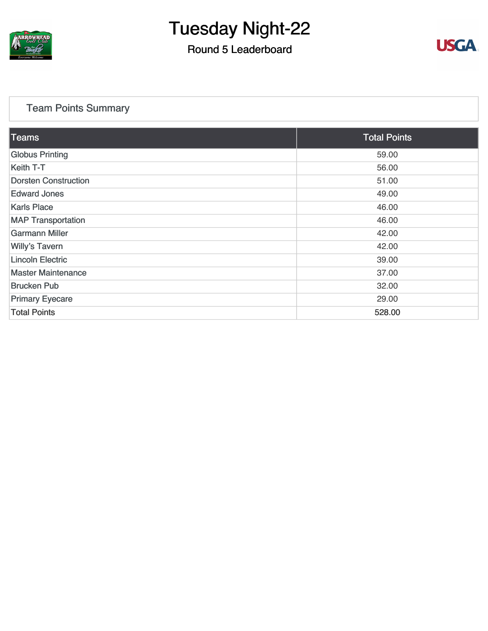

### Round 5 Leaderboard



#### [Team Points Summary](https://static.golfgenius.com/v2tournaments/team_points?league_id=8105993687684621485&round_id=8105995538547090657)

| <b>Teams</b>                | <b>Total Points</b> |
|-----------------------------|---------------------|
| <b>Globus Printing</b>      | 59.00               |
| Keith T-T                   | 56.00               |
| <b>Dorsten Construction</b> | 51.00               |
| <b>Edward Jones</b>         | 49.00               |
| <b>Karls Place</b>          | 46.00               |
| <b>MAP Transportation</b>   | 46.00               |
| <b>Garmann Miller</b>       | 42.00               |
| <b>Willy's Tavern</b>       | 42.00               |
| <b>Lincoln Electric</b>     | 39.00               |
| <b>Master Maintenance</b>   | 37.00               |
| <b>Brucken Pub</b>          | 32.00               |
| <b>Primary Eyecare</b>      | 29.00               |
| <b>Total Points</b>         | 528.00              |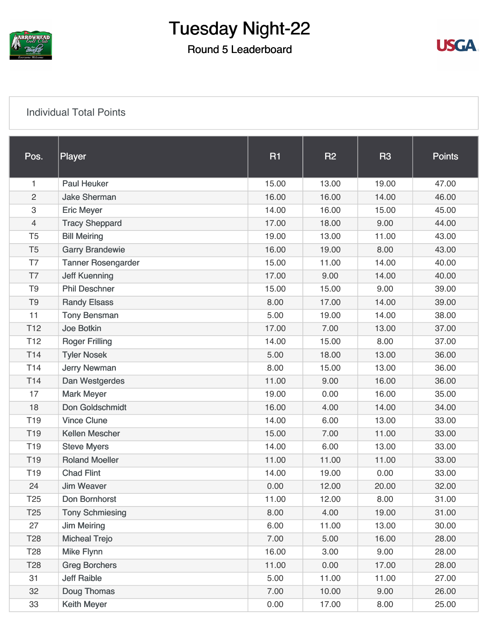

### Round 5 Leaderboard



#### [Individual Total Points](https://static.golfgenius.com/v2tournaments/8105996000759391409?called_from=&round_index=5)

| Pos.            | Player                    | <b>R1</b> | <b>R2</b> | R <sub>3</sub> | <b>Points</b> |
|-----------------|---------------------------|-----------|-----------|----------------|---------------|
| 1               | <b>Paul Heuker</b>        | 15.00     | 13.00     | 19.00          | 47.00         |
| $\overline{2}$  | <b>Jake Sherman</b>       | 16.00     | 16.00     | 14.00          | 46.00         |
| 3               | <b>Eric Meyer</b>         | 14.00     | 16.00     | 15.00          | 45.00         |
| $\overline{4}$  | <b>Tracy Sheppard</b>     | 17.00     | 18.00     | 9.00           | 44.00         |
| T <sub>5</sub>  | <b>Bill Meiring</b>       | 19.00     | 13.00     | 11.00          | 43.00         |
| T <sub>5</sub>  | <b>Garry Brandewie</b>    | 16.00     | 19.00     | 8.00           | 43.00         |
| T7              | <b>Tanner Rosengarder</b> | 15.00     | 11.00     | 14.00          | 40.00         |
| T7              | <b>Jeff Kuenning</b>      | 17.00     | 9.00      | 14.00          | 40.00         |
| T <sub>9</sub>  | <b>Phil Deschner</b>      | 15.00     | 15.00     | 9.00           | 39.00         |
| T <sub>9</sub>  | <b>Randy Elsass</b>       | 8.00      | 17.00     | 14.00          | 39.00         |
| 11              | <b>Tony Bensman</b>       | 5.00      | 19.00     | 14.00          | 38.00         |
| T <sub>12</sub> | <b>Joe Botkin</b>         | 17.00     | 7.00      | 13.00          | 37.00         |
| T <sub>12</sub> | <b>Roger Frilling</b>     | 14.00     | 15.00     | 8.00           | 37.00         |
| T <sub>14</sub> | <b>Tyler Nosek</b>        | 5.00      | 18.00     | 13.00          | 36.00         |
| T <sub>14</sub> | <b>Jerry Newman</b>       | 8.00      | 15.00     | 13.00          | 36.00         |
| T <sub>14</sub> | Dan Westgerdes            | 11.00     | 9.00      | 16.00          | 36.00         |
| 17              | <b>Mark Meyer</b>         | 19.00     | 0.00      | 16.00          | 35.00         |
| 18              | Don Goldschmidt           | 16.00     | 4.00      | 14.00          | 34.00         |
| T <sub>19</sub> | <b>Vince Clune</b>        | 14.00     | 6.00      | 13.00          | 33.00         |
| T <sub>19</sub> | <b>Kellen Mescher</b>     | 15.00     | 7.00      | 11.00          | 33.00         |
| T <sub>19</sub> | <b>Steve Myers</b>        | 14.00     | 6.00      | 13.00          | 33.00         |
| T <sub>19</sub> | <b>Roland Moeller</b>     | 11.00     | 11.00     | 11.00          | 33.00         |
| T <sub>19</sub> | <b>Chad Flint</b>         | 14.00     | 19.00     | 0.00           | 33.00         |
| 24              | <b>Jim Weaver</b>         | 0.00      | 12.00     | 20.00          | 32.00         |
| T <sub>25</sub> | Don Bornhorst             | 11.00     | 12.00     | 8.00           | 31.00         |
| T <sub>25</sub> | <b>Tony Schmiesing</b>    | 8.00      | 4.00      | 19.00          | 31.00         |
| 27              | <b>Jim Meiring</b>        | 6.00      | 11.00     | 13.00          | 30.00         |
| T <sub>28</sub> | <b>Micheal Trejo</b>      | 7.00      | 5.00      | 16.00          | 28.00         |
| T <sub>28</sub> | <b>Mike Flynn</b>         | 16.00     | 3.00      | 9.00           | 28.00         |
| T <sub>28</sub> | <b>Greg Borchers</b>      | 11.00     | 0.00      | 17.00          | 28.00         |
| 31              | <b>Jeff Raible</b>        | 5.00      | 11.00     | 11.00          | 27.00         |
| 32              | Doug Thomas               | 7.00      | 10.00     | 9.00           | 26.00         |
| 33              | <b>Keith Meyer</b>        | 0.00      | 17.00     | 8.00           | 25.00         |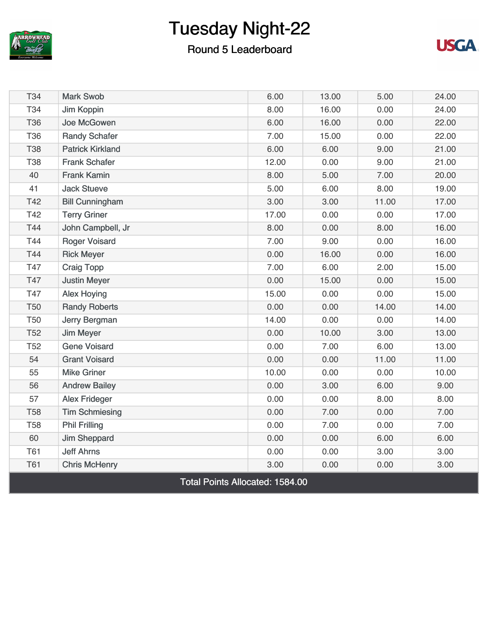

### Round 5 Leaderboard



| T34                                    | <b>Mark Swob</b>        | 6.00  | 13.00 | 5.00  | 24.00 |
|----------------------------------------|-------------------------|-------|-------|-------|-------|
| <b>T34</b>                             | Jim Koppin              | 8.00  | 16.00 | 0.00  | 24.00 |
| <b>T36</b>                             | Joe McGowen             | 6.00  | 16.00 | 0.00  | 22.00 |
| <b>T36</b>                             | <b>Randy Schafer</b>    | 7.00  | 15.00 | 0.00  | 22.00 |
| <b>T38</b>                             | <b>Patrick Kirkland</b> | 6.00  | 6.00  | 9.00  | 21.00 |
| <b>T38</b>                             | <b>Frank Schafer</b>    | 12.00 | 0.00  | 9.00  | 21.00 |
| 40                                     | <b>Frank Kamin</b>      | 8.00  | 5.00  | 7.00  | 20.00 |
| 41                                     | <b>Jack Stueve</b>      | 5.00  | 6.00  | 8.00  | 19.00 |
| T42                                    | <b>Bill Cunningham</b>  | 3.00  | 3.00  | 11.00 | 17.00 |
| T42                                    | <b>Terry Griner</b>     | 17.00 | 0.00  | 0.00  | 17.00 |
| T44                                    | John Campbell, Jr       | 8.00  | 0.00  | 8.00  | 16.00 |
| T44                                    | <b>Roger Voisard</b>    | 7.00  | 9.00  | 0.00  | 16.00 |
| T44                                    | <b>Rick Meyer</b>       | 0.00  | 16.00 | 0.00  | 16.00 |
| T47                                    | <b>Craig Topp</b>       | 7.00  | 6.00  | 2.00  | 15.00 |
| <b>T47</b>                             | <b>Justin Meyer</b>     | 0.00  | 15.00 | 0.00  | 15.00 |
| T47                                    | <b>Alex Hoying</b>      | 15.00 | 0.00  | 0.00  | 15.00 |
| <b>T50</b>                             | <b>Randy Roberts</b>    | 0.00  | 0.00  | 14.00 | 14.00 |
| <b>T50</b>                             | Jerry Bergman           | 14.00 | 0.00  | 0.00  | 14.00 |
| <b>T52</b>                             | Jim Meyer               | 0.00  | 10.00 | 3.00  | 13.00 |
| <b>T52</b>                             | <b>Gene Voisard</b>     | 0.00  | 7.00  | 6.00  | 13.00 |
| 54                                     | <b>Grant Voisard</b>    | 0.00  | 0.00  | 11.00 | 11.00 |
| 55                                     | <b>Mike Griner</b>      | 10.00 | 0.00  | 0.00  | 10.00 |
| 56                                     | <b>Andrew Bailey</b>    | 0.00  | 3.00  | 6.00  | 9.00  |
| 57                                     | <b>Alex Frideger</b>    | 0.00  | 0.00  | 8.00  | 8.00  |
| <b>T58</b>                             | <b>Tim Schmiesing</b>   | 0.00  | 7.00  | 0.00  | 7.00  |
| <b>T58</b>                             | <b>Phil Frilling</b>    | 0.00  | 7.00  | 0.00  | 7.00  |
| 60                                     | <b>Jim Sheppard</b>     | 0.00  | 0.00  | 6.00  | 6.00  |
| <b>T61</b>                             | <b>Jeff Ahrns</b>       | 0.00  | 0.00  | 3.00  | 3.00  |
| <b>T61</b>                             | <b>Chris McHenry</b>    | 3.00  | 0.00  | 0.00  | 3.00  |
| <b>Total Points Allocated: 1584.00</b> |                         |       |       |       |       |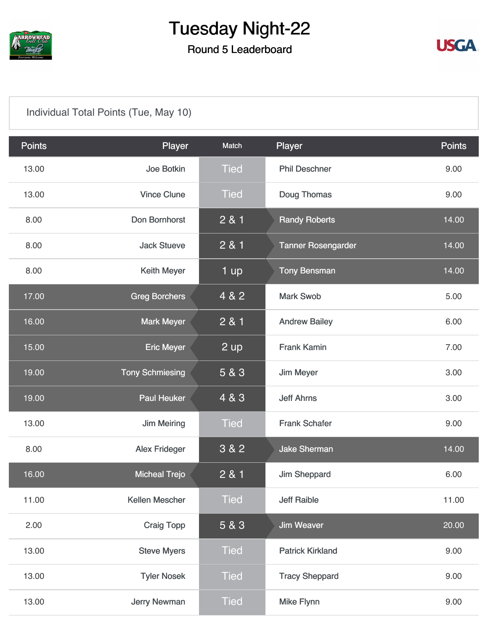

### Round 5 Leaderboard



#### [Individual Total Points \(Tue, May 10\)](https://static.golfgenius.com/v2tournaments/8105996018006369462?called_from=&round_index=5)

| <b>Points</b> | Player                 | <b>Match</b>   | Player                    | <b>Points</b> |
|---------------|------------------------|----------------|---------------------------|---------------|
| 13.00         | Joe Botkin             | <b>Tied</b>    | <b>Phil Deschner</b>      | 9.00          |
| 13.00         | <b>Vince Clune</b>     | <b>Tied</b>    | Doug Thomas               | 9.00          |
| 8.00          | Don Bornhorst          | 2 & 1          | <b>Randy Roberts</b>      | 14.00         |
| 8.00          | <b>Jack Stueve</b>     | 2 & 1          | <b>Tanner Rosengarder</b> | 14.00         |
| 8.00          | Keith Meyer            | 1 up           | <b>Tony Bensman</b>       | 14.00         |
| 17.00         | <b>Greg Borchers</b>   | 4 & 2          | <b>Mark Swob</b>          | 5.00          |
| 16.00         | <b>Mark Meyer</b>      | 2 & 1          | <b>Andrew Bailey</b>      | 6.00          |
| 15.00         | <b>Eric Meyer</b>      | $2 \text{ up}$ | <b>Frank Kamin</b>        | 7.00          |
| 19.00         | <b>Tony Schmiesing</b> | 5 & 3          | <b>Jim Meyer</b>          | 3.00          |
| 19.00         | <b>Paul Heuker</b>     | 4 & 3          | <b>Jeff Ahrns</b>         | 3.00          |
| 13.00         | <b>Jim Meiring</b>     | <b>Tied</b>    | <b>Frank Schafer</b>      | 9.00          |
| 8.00          | <b>Alex Frideger</b>   | 3 & 2          | <b>Jake Sherman</b>       | 14.00         |
| 16.00         | <b>Micheal Trejo</b>   | 2 & 1          | <b>Jim Sheppard</b>       | 6.00          |
| 11.00         | Kellen Mescher         | <b>Tied</b>    | <b>Jeff Raible</b>        | 11.00         |
| 2.00          | <b>Craig Topp</b>      | 5 & 3          | <b>Jim Weaver</b>         | 20.00         |
| 13.00         | <b>Steve Myers</b>     | <b>Tied</b>    | <b>Patrick Kirkland</b>   | 9.00          |
| 13.00         | <b>Tyler Nosek</b>     | <b>Tied</b>    | <b>Tracy Sheppard</b>     | 9.00          |
| 13.00         | <b>Jerry Newman</b>    | <b>Tied</b>    | <b>Mike Flynn</b>         | 9.00          |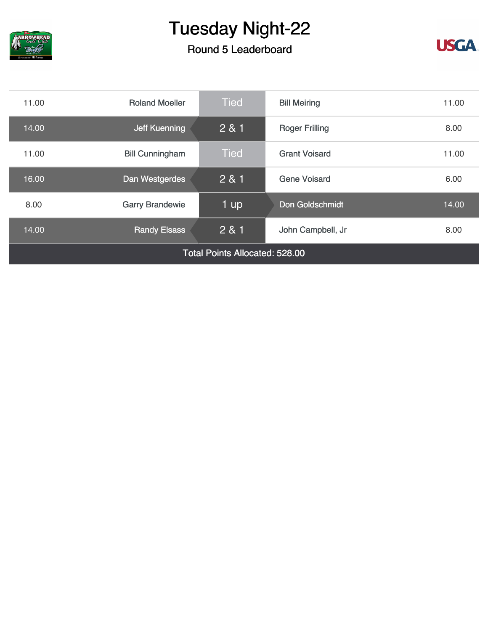

### Round 5 Leaderboard



| 11.00                                 | <b>Roland Moeller</b>  | <b>Tied</b> | <b>Bill Meiring</b><br>11.00 |       |  |
|---------------------------------------|------------------------|-------------|------------------------------|-------|--|
| 14.00                                 | Jeff Kuenning          | 2 & 1       | <b>Roger Frilling</b>        | 8.00  |  |
| 11.00                                 | <b>Bill Cunningham</b> | <b>Tied</b> | <b>Grant Voisard</b>         | 11.00 |  |
| 16.00                                 | Dan Westgerdes         | 2 & 1       | <b>Gene Voisard</b>          | 6.00  |  |
| 8.00                                  | <b>Garry Brandewie</b> | 1 up        | Don Goldschmidt              | 14.00 |  |
| 14.00                                 | <b>Randy Elsass</b>    | 2 & 1       | John Campbell, Jr            | 8.00  |  |
| <b>Total Points Allocated: 528.00</b> |                        |             |                              |       |  |